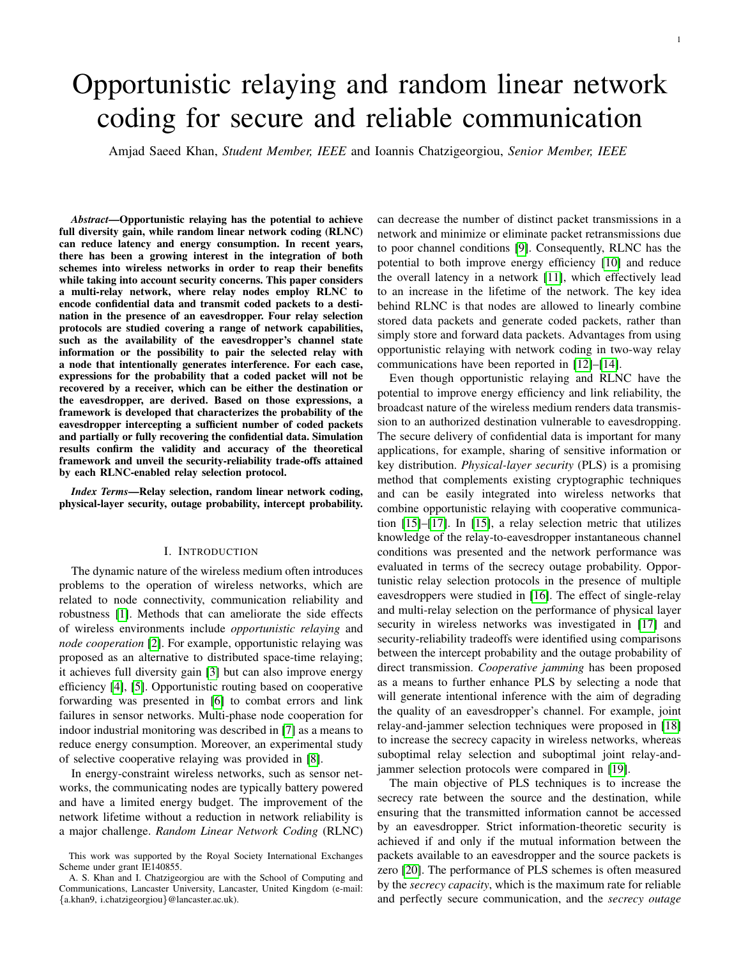# Opportunistic relaying and random linear network coding for secure and reliable communication

Amjad Saeed Khan, *Student Member, IEEE* and Ioannis Chatzigeorgiou, *Senior Member, IEEE*

*Abstract*—Opportunistic relaying has the potential to achieve full diversity gain, while random linear network coding (RLNC) can reduce latency and energy consumption. In recent years, there has been a growing interest in the integration of both schemes into wireless networks in order to reap their benefits while taking into account security concerns. This paper considers a multi-relay network, where relay nodes employ RLNC to encode confidential data and transmit coded packets to a destination in the presence of an eavesdropper. Four relay selection protocols are studied covering a range of network capabilities, such as the availability of the eavesdropper's channel state information or the possibility to pair the selected relay with a node that intentionally generates interference. For each case, expressions for the probability that a coded packet will not be recovered by a receiver, which can be either the destination or the eavesdropper, are derived. Based on those expressions, a framework is developed that characterizes the probability of the eavesdropper intercepting a sufficient number of coded packets and partially or fully recovering the confidential data. Simulation results confirm the validity and accuracy of the theoretical framework and unveil the security-reliability trade-offs attained by each RLNC-enabled relay selection protocol.

*Index Terms*—Relay selection, random linear network coding, physical-layer security, outage probability, intercept probability.

## I. INTRODUCTION

<span id="page-0-0"></span>The dynamic nature of the wireless medium often introduces problems to the operation of wireless networks, which are related to node connectivity, communication reliability and robustness [\[1\]](#page-10-0). Methods that can ameliorate the side effects of wireless environments include *opportunistic relaying* and *node cooperation* [\[2\]](#page-10-1). For example, opportunistic relaying was proposed as an alternative to distributed space-time relaying; it achieves full diversity gain [\[3\]](#page-10-2) but can also improve energy efficiency [\[4\]](#page-10-3), [\[5\]](#page-10-4). Opportunistic routing based on cooperative forwarding was presented in [\[6\]](#page-10-5) to combat errors and link failures in sensor networks. Multi-phase node cooperation for indoor industrial monitoring was described in [\[7\]](#page-10-6) as a means to reduce energy consumption. Moreover, an experimental study of selective cooperative relaying was provided in [\[8\]](#page-10-7).

In energy-constraint wireless networks, such as sensor networks, the communicating nodes are typically battery powered and have a limited energy budget. The improvement of the network lifetime without a reduction in network reliability is a major challenge. *Random Linear Network Coding* (RLNC) can decrease the number of distinct packet transmissions in a network and minimize or eliminate packet retransmissions due to poor channel conditions [\[9\]](#page-10-8). Consequently, RLNC has the potential to both improve energy efficiency [\[10\]](#page-10-9) and reduce the overall latency in a network [\[11\]](#page-10-10), which effectively lead to an increase in the lifetime of the network. The key idea behind RLNC is that nodes are allowed to linearly combine stored data packets and generate coded packets, rather than simply store and forward data packets. Advantages from using opportunistic relaying with network coding in two-way relay communications have been reported in [\[12\]](#page-10-11)–[\[14\]](#page-10-12).

Even though opportunistic relaying and RLNC have the potential to improve energy efficiency and link reliability, the broadcast nature of the wireless medium renders data transmission to an authorized destination vulnerable to eavesdropping. The secure delivery of confidential data is important for many applications, for example, sharing of sensitive information or key distribution. *Physical-layer security* (PLS) is a promising method that complements existing cryptographic techniques and can be easily integrated into wireless networks that combine opportunistic relaying with cooperative communication [\[15\]](#page-10-13)–[\[17\]](#page-10-14). In [\[15\]](#page-10-13), a relay selection metric that utilizes knowledge of the relay-to-eavesdropper instantaneous channel conditions was presented and the network performance was evaluated in terms of the secrecy outage probability. Opportunistic relay selection protocols in the presence of multiple eavesdroppers were studied in [\[16\]](#page-10-15). The effect of single-relay and multi-relay selection on the performance of physical layer security in wireless networks was investigated in [\[17\]](#page-10-14) and security-reliability tradeoffs were identified using comparisons between the intercept probability and the outage probability of direct transmission. *Cooperative jamming* has been proposed as a means to further enhance PLS by selecting a node that will generate intentional inference with the aim of degrading the quality of an eavesdropper's channel. For example, joint relay-and-jammer selection techniques were proposed in [\[18\]](#page-10-16) to increase the secrecy capacity in wireless networks, whereas suboptimal relay selection and suboptimal joint relay-andjammer selection protocols were compared in [\[19\]](#page-10-17).

The main objective of PLS techniques is to increase the secrecy rate between the source and the destination, while ensuring that the transmitted information cannot be accessed by an eavesdropper. Strict information-theoretic security is achieved if and only if the mutual information between the packets available to an eavesdropper and the source packets is zero [\[20\]](#page-10-18). The performance of PLS schemes is often measured by the *secrecy capacity*, which is the maximum rate for reliable and perfectly secure communication, and the *secrecy outage*

This work was supported by the Royal Society International Exchanges Scheme under grant IE140855.

A. S. Khan and I. Chatzigeorgiou are with the School of Computing and Communications, Lancaster University, Lancaster, United Kingdom (e-mail: {a.khan9, i.chatzigeorgiou}@lancaster.ac.uk).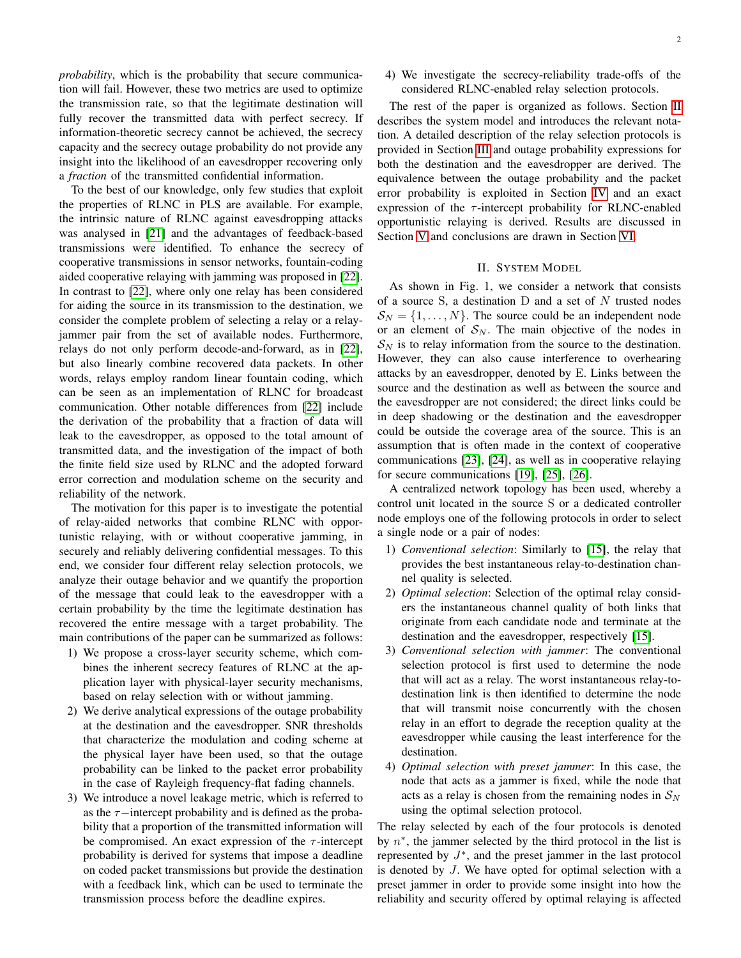*probability*, which is the probability that secure communication will fail. However, these two metrics are used to optimize the transmission rate, so that the legitimate destination will fully recover the transmitted data with perfect secrecy. If information-theoretic secrecy cannot be achieved, the secrecy capacity and the secrecy outage probability do not provide any insight into the likelihood of an eavesdropper recovering only a *fraction* of the transmitted confidential information.

To the best of our knowledge, only few studies that exploit the properties of RLNC in PLS are available. For example, the intrinsic nature of RLNC against eavesdropping attacks was analysed in [\[21\]](#page-10-19) and the advantages of feedback-based transmissions were identified. To enhance the secrecy of cooperative transmissions in sensor networks, fountain-coding aided cooperative relaying with jamming was proposed in [\[22\]](#page-10-20). In contrast to [\[22\]](#page-10-20), where only one relay has been considered for aiding the source in its transmission to the destination, we consider the complete problem of selecting a relay or a relayjammer pair from the set of available nodes. Furthermore, relays do not only perform decode-and-forward, as in [\[22\]](#page-10-20), but also linearly combine recovered data packets. In other words, relays employ random linear fountain coding, which can be seen as an implementation of RLNC for broadcast communication. Other notable differences from [\[22\]](#page-10-20) include the derivation of the probability that a fraction of data will leak to the eavesdropper, as opposed to the total amount of transmitted data, and the investigation of the impact of both the finite field size used by RLNC and the adopted forward error correction and modulation scheme on the security and reliability of the network.

The motivation for this paper is to investigate the potential of relay-aided networks that combine RLNC with opportunistic relaying, with or without cooperative jamming, in securely and reliably delivering confidential messages. To this end, we consider four different relay selection protocols, we analyze their outage behavior and we quantify the proportion of the message that could leak to the eavesdropper with a certain probability by the time the legitimate destination has recovered the entire message with a target probability. The main contributions of the paper can be summarized as follows:

- 1) We propose a cross-layer security scheme, which combines the inherent secrecy features of RLNC at the application layer with physical-layer security mechanisms, based on relay selection with or without jamming.
- 2) We derive analytical expressions of the outage probability at the destination and the eavesdropper. SNR thresholds that characterize the modulation and coding scheme at the physical layer have been used, so that the outage probability can be linked to the packet error probability in the case of Rayleigh frequency-flat fading channels.
- 3) We introduce a novel leakage metric, which is referred to as the  $\tau$ −intercept probability and is defined as the probability that a proportion of the transmitted information will be compromised. An exact expression of the  $\tau$ -intercept probability is derived for systems that impose a deadline on coded packet transmissions but provide the destination with a feedback link, which can be used to terminate the transmission process before the deadline expires.

4) We investigate the secrecy-reliability trade-offs of the considered RLNC-enabled relay selection protocols.

The rest of the paper is organized as follows. Section [II](#page-1-0) describes the system model and introduces the relevant notation. A detailed description of the relay selection protocols is provided in Section [III](#page-3-0) and outage probability expressions for both the destination and the eavesdropper are derived. The equivalence between the outage probability and the packet error probability is exploited in Section [IV](#page-6-0) and an exact expression of the  $\tau$ -intercept probability for RLNC-enabled opportunistic relaying is derived. Results are discussed in Section [V](#page-7-0) and conclusions are drawn in Section [VI.](#page-10-21)

## II. SYSTEM MODEL

<span id="page-1-0"></span>As shown in Fig. 1, we consider a network that consists of a source S, a destination  $D$  and a set of  $N$  trusted nodes  $S_N = \{1, \ldots, N\}$ . The source could be an independent node or an element of  $S_N$ . The main objective of the nodes in  $S_N$  is to relay information from the source to the destination. However, they can also cause interference to overhearing attacks by an eavesdropper, denoted by E. Links between the source and the destination as well as between the source and the eavesdropper are not considered; the direct links could be in deep shadowing or the destination and the eavesdropper could be outside the coverage area of the source. This is an assumption that is often made in the context of cooperative communications [\[23\]](#page-10-22), [\[24\]](#page-10-23), as well as in cooperative relaying for secure communications [\[19\]](#page-10-17), [\[25\]](#page-10-24), [\[26\]](#page-10-25).

A centralized network topology has been used, whereby a control unit located in the source S or a dedicated controller node employs one of the following protocols in order to select a single node or a pair of nodes:

- 1) *Conventional selection*: Similarly to [\[15\]](#page-10-13), the relay that provides the best instantaneous relay-to-destination channel quality is selected.
- 2) *Optimal selection*: Selection of the optimal relay considers the instantaneous channel quality of both links that originate from each candidate node and terminate at the destination and the eavesdropper, respectively [\[15\]](#page-10-13).
- 3) *Conventional selection with jammer*: The conventional selection protocol is first used to determine the node that will act as a relay. The worst instantaneous relay-todestination link is then identified to determine the node that will transmit noise concurrently with the chosen relay in an effort to degrade the reception quality at the eavesdropper while causing the least interference for the destination.
- 4) *Optimal selection with preset jammer*: In this case, the node that acts as a jammer is fixed, while the node that acts as a relay is chosen from the remaining nodes in  $S_N$ using the optimal selection protocol.

The relay selected by each of the four protocols is denoted by  $n^*$ , the jammer selected by the third protocol in the list is represented by  $J^*$ , and the preset jammer in the last protocol is denoted by J. We have opted for optimal selection with a preset jammer in order to provide some insight into how the reliability and security offered by optimal relaying is affected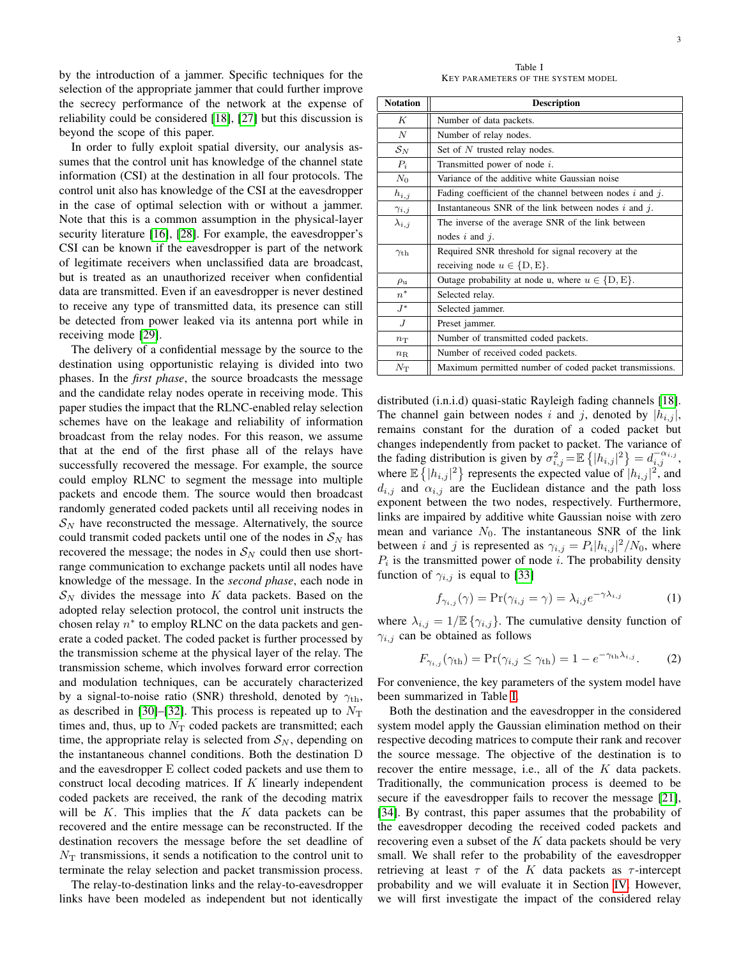by the introduction of a jammer. Specific techniques for the selection of the appropriate jammer that could further improve the secrecy performance of the network at the expense of reliability could be considered [\[18\]](#page-10-16), [\[27\]](#page-10-26) but this discussion is beyond the scope of this paper.

In order to fully exploit spatial diversity, our analysis assumes that the control unit has knowledge of the channel state information (CSI) at the destination in all four protocols. The control unit also has knowledge of the CSI at the eavesdropper in the case of optimal selection with or without a jammer. Note that this is a common assumption in the physical-layer security literature [\[16\]](#page-10-15), [\[28\]](#page-10-27). For example, the eavesdropper's CSI can be known if the eavesdropper is part of the network of legitimate receivers when unclassified data are broadcast, but is treated as an unauthorized receiver when confidential data are transmitted. Even if an eavesdropper is never destined to receive any type of transmitted data, its presence can still be detected from power leaked via its antenna port while in receiving mode [\[29\]](#page-10-28).

The delivery of a confidential message by the source to the destination using opportunistic relaying is divided into two phases. In the *first phase*, the source broadcasts the message and the candidate relay nodes operate in receiving mode. This paper studies the impact that the RLNC-enabled relay selection schemes have on the leakage and reliability of information broadcast from the relay nodes. For this reason, we assume that at the end of the first phase all of the relays have successfully recovered the message. For example, the source could employ RLNC to segment the message into multiple packets and encode them. The source would then broadcast randomly generated coded packets until all receiving nodes in  $S_N$  have reconstructed the message. Alternatively, the source could transmit coded packets until one of the nodes in  $S_N$  has recovered the message; the nodes in  $S_N$  could then use shortrange communication to exchange packets until all nodes have knowledge of the message. In the *second phase*, each node in  $\mathcal{S}_N$  divides the message into K data packets. Based on the adopted relay selection protocol, the control unit instructs the chosen relay  $n^*$  to employ RLNC on the data packets and generate a coded packet. The coded packet is further processed by the transmission scheme at the physical layer of the relay. The transmission scheme, which involves forward error correction and modulation techniques, can be accurately characterized by a signal-to-noise ratio (SNR) threshold, denoted by  $\gamma_{\text{th}}$ , as described in [\[30\]](#page-11-0)–[\[32\]](#page-11-1). This process is repeated up to  $N<sub>T</sub>$ times and, thus, up to  $N<sub>T</sub>$  coded packets are transmitted; each time, the appropriate relay is selected from  $S_N$ , depending on the instantaneous channel conditions. Both the destination D and the eavesdropper E collect coded packets and use them to construct local decoding matrices. If  $K$  linearly independent coded packets are received, the rank of the decoding matrix will be  $K$ . This implies that the  $K$  data packets can be recovered and the entire message can be reconstructed. If the destination recovers the message before the set deadline of  $N<sub>T</sub>$  transmissions, it sends a notification to the control unit to terminate the relay selection and packet transmission process.

The relay-to-destination links and the relay-to-eavesdropper links have been modeled as independent but not identically

Table I KEY PARAMETERS OF THE SYSTEM MODEL

<span id="page-2-0"></span>

| <b>Notation</b>   | <b>Description</b>                                            |
|-------------------|---------------------------------------------------------------|
| K                 | Number of data packets.                                       |
| N                 | Number of relay nodes.                                        |
| ${\cal S}_{N}$    | Set of N trusted relay nodes.                                 |
| $P_i$             | Transmitted power of node i.                                  |
| $N_{\rm 0}$       | Variance of the additive white Gaussian noise                 |
| $h_{i,j}$         | Fading coefficient of the channel between nodes $i$ and $j$ . |
| $\gamma_{i,j}$    | Instantaneous SNR of the link between nodes $i$ and $j$ .     |
| $\lambda_{i,j}$   | The inverse of the average SNR of the link between            |
|                   | nodes $i$ and $j$ .                                           |
| $\gamma_{\rm th}$ | Required SNR threshold for signal recovery at the             |
|                   | receiving node $u \in \{D, E\}.$                              |
| $\rho_{\rm u}$    | Outage probability at node u, where $u \in \{D, E\}$ .        |
| $n^*$             | Selected relay.                                               |
| $J^*$             | Selected jammer.                                              |
| J                 | Preset jammer.                                                |
| $n_{\rm T}$       | Number of transmitted coded packets.                          |
| $n_{\rm R}$       | Number of received coded packets.                             |
| $N_{\rm T}$       | Maximum permitted number of coded packet transmissions.       |

distributed (i.n.i.d) quasi-static Rayleigh fading channels [\[18\]](#page-10-16). The channel gain between nodes i and j, denoted by  $|h_{i,j}|$ , remains constant for the duration of a coded packet but changes independently from packet to packet. The variance of the fading distribution is given by  $\sigma_{i,j}^2 = \mathbb{E} \left\{ |h_{i,j}|^2 \right\} = d_{i,j}^{-\alpha_{i,j}},$ where  $\mathbb{E}\left\{|h_{i,j}|^2\right\}$  represents the expected value of  $|h_{i,j}|^2$ , and  $d_{i,j}$  and  $\alpha_{i,j}$  are the Euclidean distance and the path loss exponent between the two nodes, respectively. Furthermore, links are impaired by additive white Gaussian noise with zero mean and variance  $N_0$ . The instantaneous SNR of the link between *i* and *j* is represented as  $\gamma_{i,j} = P_i |h_{i,j}|^2 / N_0$ , where  $P_i$  is the transmitted power of node *i*. The probability density function of  $\gamma_{i,j}$  is equal to [\[33\]](#page-11-2)

<span id="page-2-1"></span>
$$
f_{\gamma_{i,j}}(\gamma) = \Pr(\gamma_{i,j} = \gamma) = \lambda_{i,j} e^{-\gamma \lambda_{i,j}} \tag{1}
$$

where  $\lambda_{i,j} = 1/\mathbb{E} \{ \gamma_{i,j} \}$ . The cumulative density function of  $\gamma_{i,j}$  can be obtained as follows

<span id="page-2-2"></span>
$$
F_{\gamma_{i,j}}(\gamma_{\text{th}}) = \Pr(\gamma_{i,j} \le \gamma_{\text{th}}) = 1 - e^{-\gamma_{\text{th}}\lambda_{i,j}}.
$$
 (2)

For convenience, the key parameters of the system model have been summarized in Table [I.](#page-2-0)

Both the destination and the eavesdropper in the considered system model apply the Gaussian elimination method on their respective decoding matrices to compute their rank and recover the source message. The objective of the destination is to recover the entire message, i.e., all of the K data packets. Traditionally, the communication process is deemed to be secure if the eavesdropper fails to recover the message [\[21\]](#page-10-19), [\[34\]](#page-11-3). By contrast, this paper assumes that the probability of the eavesdropper decoding the received coded packets and recovering even a subset of the  $K$  data packets should be very small. We shall refer to the probability of the eavesdropper retrieving at least  $\tau$  of the K data packets as  $\tau$ -intercept probability and we will evaluate it in Section [IV.](#page-6-0) However, we will first investigate the impact of the considered relay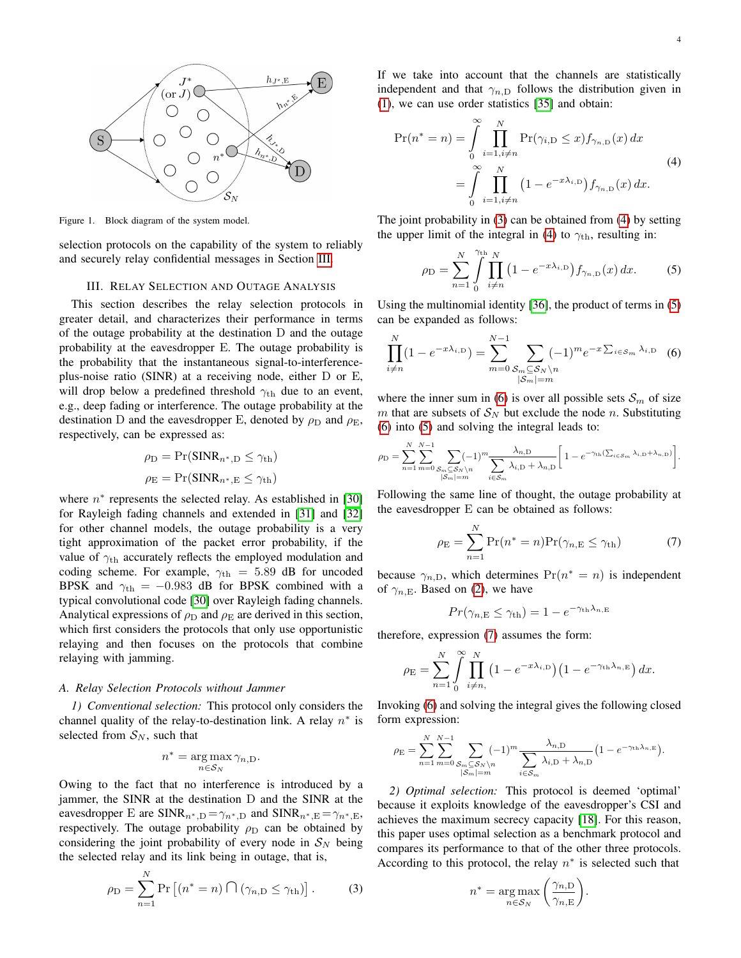

Figure 1. Block diagram of the system model.

selection protocols on the capability of the system to reliably and securely relay confidential messages in Section [III.](#page-3-0)

#### III. RELAY SELECTION AND OUTAGE ANALYSIS

<span id="page-3-0"></span>This section describes the relay selection protocols in greater detail, and characterizes their performance in terms of the outage probability at the destination D and the outage probability at the eavesdropper E. The outage probability is the probability that the instantaneous signal-to-interferenceplus-noise ratio (SINR) at a receiving node, either D or E, will drop below a predefined threshold  $\gamma_{\text{th}}$  due to an event, e.g., deep fading or interference. The outage probability at the destination D and the eavesdropper E, denoted by  $\rho_D$  and  $\rho_E$ , respectively, can be expressed as:

<span id="page-3-1"></span>
$$
\rho_{\rm D} = \Pr(\text{SINR}_{n^*,\rm D} \le \gamma_{\rm th})
$$

$$
\rho_{\rm E} = \Pr(\text{SINR}_{n^*,\rm E} \le \gamma_{\rm th})
$$

where  $n^*$  represents the selected relay. As established in [\[30\]](#page-11-0) for Rayleigh fading channels and extended in [\[31\]](#page-11-4) and [\[32\]](#page-11-1) for other channel models, the outage probability is a very tight approximation of the packet error probability, if the value of  $\gamma_{\text{th}}$  accurately reflects the employed modulation and coding scheme. For example,  $\gamma_{\text{th}} = 5.89$  dB for uncoded BPSK and  $\gamma_{\text{th}} = -0.983$  dB for BPSK combined with a typical convolutional code [\[30\]](#page-11-0) over Rayleigh fading channels. Analytical expressions of  $\rho_D$  and  $\rho_E$  are derived in this section, which first considers the protocols that only use opportunistic relaying and then focuses on the protocols that combine relaying with jamming.

#### *A. Relay Selection Protocols without Jammer*

*1) Conventional selection:* This protocol only considers the channel quality of the relay-to-destination link. A relay  $n^*$  is selected from  $S_N$ , such that

$$
n^* = \underset{n \in \mathcal{S}_N}{\arg \max} \gamma_{n,D}.
$$

Owing to the fact that no interference is introduced by a jammer, the SINR at the destination D and the SINR at the eavesdropper E are SINR<sub>n<sup>∗,D</sub> =  $\gamma_{n^*,D}$  and SINR<sub>n<sup>∗,E</sub> =  $\gamma_{n^*,E}$ ,</sub></sup></sub></sup> respectively. The outage probability  $\rho_D$  can be obtained by considering the joint probability of every node in  $S_N$  being the selected relay and its link being in outage, that is,

$$
\rho_{\rm D} = \sum_{n=1}^{N} \Pr\left[ (n^* = n) \cap (\gamma_{n, \rm D} \le \gamma_{\rm th}) \right]. \tag{3}
$$

If we take into account that the channels are statistically independent and that  $\gamma_{n,D}$  follows the distribution given in [\(1\)](#page-2-1), we can use order statistics [\[35\]](#page-11-5) and obtain:

<span id="page-3-2"></span>
$$
\Pr(n^* = n) = \int_{0}^{\infty} \prod_{i=1, i \neq n}^{N} \Pr(\gamma_{i, D} \le x) f_{\gamma_{n, D}}(x) dx
$$
  
= 
$$
\int_{0}^{\infty} \prod_{i=1, i \neq n}^{N} (1 - e^{-x\lambda_{i, D}}) f_{\gamma_{n, D}}(x) dx.
$$
 (4)

The joint probability in [\(3\)](#page-3-1) can be obtained from [\(4\)](#page-3-2) by setting the upper limit of the integral in [\(4\)](#page-3-2) to  $\gamma_{th}$ , resulting in:

<span id="page-3-3"></span>
$$
\rho_{\rm D} = \sum_{n=1}^{N} \int_{0}^{\gamma_{\rm th}} \prod_{i \neq n}^{N} \left( 1 - e^{-x \lambda_{i,\rm D}} \right) f_{\gamma_{n,\rm D}}(x) \, dx. \tag{5}
$$

Using the multinomial identity [\[36\]](#page-11-6), the product of terms in [\(5\)](#page-3-3) can be expanded as follows:

<span id="page-3-4"></span>
$$
\prod_{i \neq n}^{N} (1 - e^{-x\lambda_{i,D}}) = \sum_{m=0}^{N-1} \sum_{\substack{S_m \subseteq S_N \setminus n \\ |S_m| = m}} (-1)^m e^{-x \sum_{i \in S_m} \lambda_{i,D}} \quad (6)
$$

where the inner sum in [\(6\)](#page-3-4) is over all possible sets  $S_m$  of size m that are subsets of  $S_N$  but exclude the node n. Substituting [\(6\)](#page-3-4) into [\(5\)](#page-3-3) and solving the integral leads to:

<span id="page-3-5"></span>
$$
\rho_{\rm D} = \sum_{n=1}^{N} \sum_{m=0}^{N-1} \sum_{\substack{S_m \subseteq S_N \backslash n \\ |S_m| = m}} (-1)^m \frac{\lambda_{n,\rm D}}{\sum_{i \in S_m} \lambda_{i,\rm D} + \lambda_{n,\rm D}} \left[ 1 - e^{-\gamma_{\rm th} (\sum_{i \in S_m} \lambda_{i,\rm D} + \lambda_{n,\rm D})} \right].
$$

Following the same line of thought, the outage probability at the eavesdropper E can be obtained as follows:

$$
\rho_{\mathcal{E}} = \sum_{n=1}^{N} \Pr(n^* = n) \Pr(\gamma_{n,\mathcal{E}} \le \gamma_{\text{th}})
$$
 (7)

because  $\gamma_{n,D}$ , which determines  $Pr(n^* = n)$  is independent of  $\gamma_{n,E}$ . Based on [\(2\)](#page-2-2), we have

<span id="page-3-6"></span>
$$
Pr(\gamma_{n,E} \le \gamma_{\text{th}}) = 1 - e^{-\gamma_{\text{th}}\lambda_{n,E}}
$$

therefore, expression [\(7\)](#page-3-5) assumes the form:

$$
\rho_{\mathcal{E}} = \sum_{n=1}^N \int_0^\infty \prod_{i \neq n}^N \left(1 - e^{-x\lambda_{i,\mathcal{D}}}\right) \left(1 - e^{-\gamma_{\text{th}}\lambda_{n,\mathcal{E}}}\right) dx.
$$

Invoking [\(6\)](#page-3-4) and solving the integral gives the following closed form expression:

$$
\rho_{\rm E} = \sum_{n=1}^N \sum_{m=0}^{N-1} \sum_{\substack{S_m \subseteq S_N \backslash n \\ |S_m| = m}} (-1)^m \frac{\lambda_{n,\rm D}}{\sum_{i \in S_m} \lambda_{i,\rm D} + \lambda_{n,\rm D}} \Big( 1 - e^{-\gamma_{\rm th}\lambda_{n,\rm E}} \Big).
$$

*2) Optimal selection:* This protocol is deemed 'optimal' because it exploits knowledge of the eavesdropper's CSI and achieves the maximum secrecy capacity [\[18\]](#page-10-16). For this reason, this paper uses optimal selection as a benchmark protocol and compares its performance to that of the other three protocols. According to this protocol, the relay  $n^*$  is selected such that

$$
n^* = \underset{n \in \mathcal{S}_N}{\arg \max} \left( \frac{\gamma_{n,\mathrm{D}}}{\gamma_{n,\mathrm{E}}} \right).
$$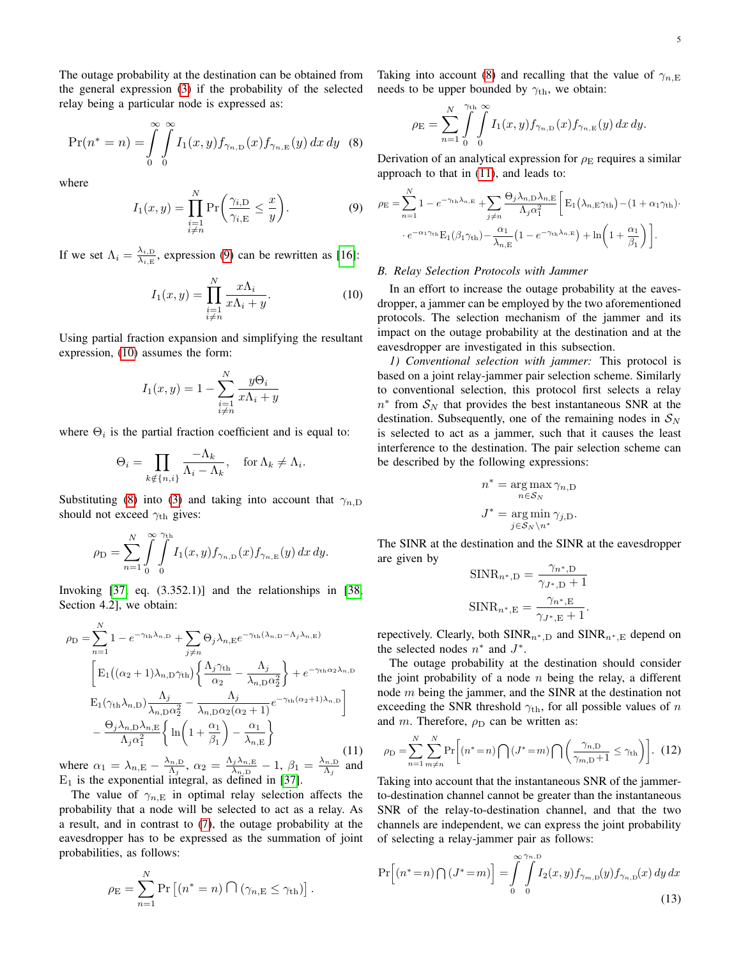The outage probability at the destination can be obtained from the general expression [\(3\)](#page-3-1) if the probability of the selected relay being a particular node is expressed as:

$$
\Pr(n^* = n) = \int_{0}^{\infty} \int_{0}^{\infty} I_1(x, y) f_{\gamma_{n, \mathcal{D}}}(x) f_{\gamma_{n, \mathcal{E}}}(y) dx dy
$$
 (8)

where

<span id="page-4-0"></span>
$$
I_1(x,y) = \prod_{\substack{i=1\\i\neq n}}^N \Pr\bigg(\frac{\gamma_{i,\mathcal{D}}}{\gamma_{i,\mathcal{E}}} \le \frac{x}{y}\bigg). \tag{9}
$$

If we set  $\Lambda_i = \frac{\lambda_{i,\text{D}}}{\lambda_{i,\text{D}}}$  $\frac{\lambda_{i,D}}{\lambda_{i,E}}$ , expression [\(9\)](#page-4-0) can be rewritten as [\[16\]](#page-10-15):

<span id="page-4-1"></span>
$$
I_1(x,y) = \prod_{\substack{i=1\\i\neq n}}^N \frac{x\Lambda_i}{x\Lambda_i + y}.
$$
 (10)

Using partial fraction expansion and simplifying the resultant expression, [\(10\)](#page-4-1) assumes the form:

<span id="page-4-2"></span>
$$
I_1(x, y) = 1 - \sum_{\substack{i=1 \ i \neq n}}^N \frac{y \Theta_i}{x \Lambda_i + y}
$$

where  $\Theta_i$  is the partial fraction coefficient and is equal to:

$$
\Theta_i = \prod_{k \notin \{n, i\}} \frac{-\Lambda_k}{\Lambda_i - \Lambda_k}, \quad \text{for } \Lambda_k \neq \Lambda_i.
$$

Substituting [\(8\)](#page-3-6) into [\(3\)](#page-3-1) and taking into account that  $\gamma_{n,D}$ should not exceed  $\gamma_{\text{th}}$  gives:

$$
\rho_{\rm D} = \sum_{n=1}^N \int\limits_0^\infty \int\limits_0^{\gamma_{\rm th}} I_1(x,y) f_{\gamma_{n,\rm D}}(x) f_{\gamma_{n,\rm E}}(y)\, dx\, dy.
$$

Invoking  $[37, eq. (3.352.1)]$  $[37, eq. (3.352.1)]$  and the relationships in  $[38, 10.352.1]]$  $[38, 10.352.1]]$ Section 4.2], we obtain:

$$
\rho_{\rm D} = \sum_{n=1}^{N} 1 - e^{-\gamma_{\rm th}\lambda_{n,\rm D}} + \sum_{j\neq n} \Theta_j \lambda_{n,\rm E} e^{-\gamma_{\rm th}(\lambda_{n,\rm D} - \Lambda_j \lambda_{n,\rm E})}
$$

$$
\left[ \mathbf{E}_1\left( (\alpha_2 + 1)\lambda_{n,\rm D}\gamma_{\rm th} \right) \left\{ \frac{\Lambda_j \gamma_{\rm th}}{\alpha_2} - \frac{\Lambda_j}{\lambda_{n,\rm D}\alpha_2^2} \right\} + e^{-\gamma_{\rm th}\alpha_2\lambda_{n,\rm D}}
$$

$$
\mathbf{E}_1(\gamma_{\rm th}\lambda_{n,\rm D}) \frac{\Lambda_j}{\lambda_{n,\rm D}\alpha_2^2} - \frac{\Lambda_j}{\lambda_{n,\rm D}\alpha_2(\alpha_2 + 1)} e^{-\gamma_{\rm th}(\alpha_2 + 1)\lambda_{n,\rm D}} \right]
$$

$$
- \frac{\Theta_j \lambda_{n,\rm D}\lambda_{n,\rm E}}{\Lambda_j \alpha_1^2} \left\{ \ln \left( 1 + \frac{\alpha_1}{\beta_1} \right) - \frac{\alpha_1}{\lambda_{n,\rm E}} \right\} \tag{11}
$$

where  $\alpha_1 = \lambda_{n,\text{E}} - \frac{\lambda_{n,\text{D}}}{\Lambda_n}$  $\frac{\Lambda_{n,\mathrm{D}}}{\Lambda_{j}},\ \alpha_{2}=\frac{\Lambda_{j}\lambda_{n,\mathrm{E}}}{\lambda_{n,\mathrm{D}}}$  $\frac{\lambda_{j}\lambda_{n,\mathrm{E}}}{\lambda_{n,\mathrm{D}}}-1,~\beta_{1}=\frac{\lambda_{n,\mathrm{D}}}{\Lambda_{j}}$  $\frac{N_{n,D}}{\Lambda_j}$  and  $E_1$  is the exponential integral, as defined in [\[37\]](#page-11-7).

The value of  $\gamma_{n,E}$  in optimal relay selection affects the probability that a node will be selected to act as a relay. As a result, and in contrast to [\(7\)](#page-3-5), the outage probability at the eavesdropper has to be expressed as the summation of joint probabilities, as follows:

<span id="page-4-4"></span>
$$
\rho_{\rm E} = \sum_{n=1}^N \Pr\left[ (n^* = n) \bigcap (\gamma_{n, \rm E} \le \gamma_{\rm th}) \right].
$$

Taking into account [\(8\)](#page-3-6) and recalling that the value of  $\gamma_{n,E}$ needs to be upper bounded by  $\gamma_{\text{th}}$ , we obtain:

$$
\rho_{\mathcal{E}} = \sum_{n=1}^N \int\limits_0^{\gamma_{\text{th}}} \int\limits_0^{\infty} I_1(x, y) f_{\gamma_{n, \mathcal{D}}}(x) f_{\gamma_{n, \mathcal{E}}}(y) dx dy.
$$

Derivation of an analytical expression for  $\rho_E$  requires a similar approach to that in [\(11\)](#page-4-2), and leads to:

$$
\rho_{\rm E} = \sum_{n=1}^{N} 1 - e^{-\gamma_{\rm th}\lambda_{n,\rm E}} + \sum_{j\neq n} \frac{\Theta_j \lambda_{n,\rm D} \lambda_{n,\rm E}}{\Lambda_j \alpha_1^2} \left[ \mathbf{E}_1(\lambda_{n,\rm E}\gamma_{\rm th}) - (1 + \alpha_1 \gamma_{\rm th}) \cdot \right. \\ \left. \cdot e^{-\alpha_1 \gamma_{\rm th}} \mathbf{E}_1(\beta_1 \gamma_{\rm th}) - \frac{\alpha_1}{\lambda_{n,\rm E}} \left( 1 - e^{-\gamma_{\rm th}\lambda_{n,\rm E}} \right) + \ln \left( 1 + \frac{\alpha_1}{\beta_1} \right) \right].
$$

## *B. Relay Selection Protocols with Jammer*

In an effort to increase the outage probability at the eavesdropper, a jammer can be employed by the two aforementioned protocols. The selection mechanism of the jammer and its impact on the outage probability at the destination and at the eavesdropper are investigated in this subsection.

*1) Conventional selection with jammer:* This protocol is based on a joint relay-jammer pair selection scheme. Similarly to conventional selection, this protocol first selects a relay  $n^*$  from  $S_N$  that provides the best instantaneous SNR at the destination. Subsequently, one of the remaining nodes in  $S_N$ is selected to act as a jammer, such that it causes the least interference to the destination. The pair selection scheme can be described by the following expressions:

$$
n^* = \underset{n \in S_N}{\arg \max} \gamma_{n,D}
$$

$$
J^* = \underset{j \in S_N \backslash n^*}{\arg \min} \gamma_{j,D}.
$$

The SINR at the destination and the SINR at the eavesdropper are given by

$$
SINR_{n^*,D} = \frac{\gamma_{n^*,D}}{\gamma_{J^*,D} + 1}
$$

$$
SINR_{n^*,E} = \frac{\gamma_{n^*,E}}{\gamma_{J^*,E} + 1}.
$$

repectively. Clearly, both  $SINR_{n<sup>*</sup>,D}$  and  $SINR_{n<sup>*</sup>,E}$  depend on the selected nodes  $n^*$  and  $J^*$ .

The outage probability at the destination should consider the joint probability of a node  $n$  being the relay, a different node m being the jammer, and the SINR at the destination not exceeding the SNR threshold  $\gamma_{\text{th}}$ , for all possible values of n and m. Therefore,  $\rho_D$  can be written as:

$$
\rho_{\rm D} = \sum_{n=1}^{N} \sum_{m \neq n}^{N} \Pr\left[ (n^* = n) \bigcap (J^* = m) \bigcap \left( \frac{\gamma_{n,\rm D}}{\gamma_{m,\rm D} + 1} \le \gamma_{\rm th} \right) \right]. \tag{12}
$$

Taking into account that the instantaneous SNR of the jammerto-destination channel cannot be greater than the instantaneous SNR of the relay-to-destination channel, and that the two channels are independent, we can express the joint probability of selecting a relay-jammer pair as follows:

<span id="page-4-3"></span>
$$
\Pr\Big[(n^*=n)\bigcap (J^*=m)\Big] = \int_{0}^{\infty} \int_{0}^{\gamma_{n,D}} I_2(x,y) f_{\gamma_{m,D}}(y) f_{\gamma_{n,D}}(x) dy dx
$$
\n(13)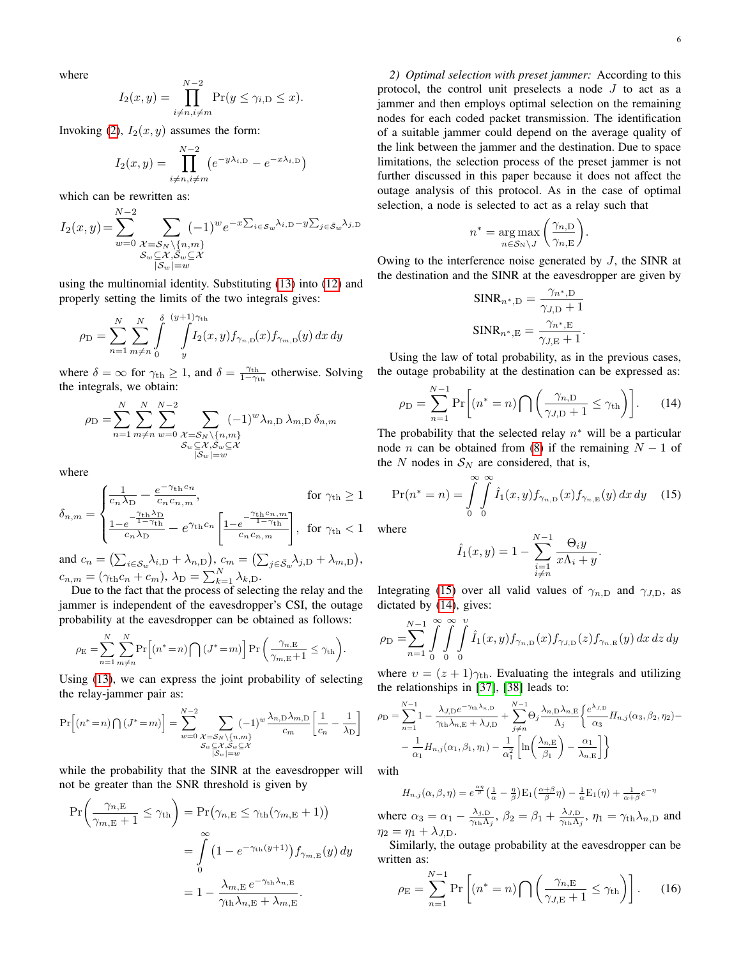where

<span id="page-5-1"></span>
$$
I_2(x,y) = \prod_{i \neq n, i \neq m}^{N-2} \Pr(y \le \gamma_{i,D} \le x).
$$

Invoking [\(2\)](#page-2-2),  $I_2(x, y)$  assumes the form:

$$
I_2(x,y) = \prod_{i \neq n, i \neq m}^{N-2} \left( e^{-y\lambda_{i,D}} - e^{-x\lambda_{i,D}} \right)
$$

which can be rewritten as:

$$
I_2(x,y) = \sum_{w=0}^{N-2} \sum_{\substack{\mathcal{X} = \mathcal{S}_N \setminus \{n,m\} \\ \mathcal{S}_w \subseteq \mathcal{X}, \mathcal{S}_w \subseteq \mathcal{X} \\ |\mathcal{S}_w| = w}} (-1)^w e^{-x \sum_{i \in \mathcal{S}_w} \lambda_{i,D} - y \sum_{j \in \mathcal{S}_w} \lambda_{j,D}}
$$

using the multinomial identity. Substituting [\(13\)](#page-4-3) into [\(12\)](#page-4-4) and properly setting the limits of the two integrals gives:

$$
\rho_{\rm D} = \sum_{n=1}^{N} \sum_{m \neq n}^{N} \int_{0}^{\delta} \int_{y}^{(y+1)\gamma_{\rm th}} I_2(x, y) f_{\gamma_{n, \rm D}}(x) f_{\gamma_{m, \rm D}}(y) dx dy
$$

where  $\delta = \infty$  for  $\gamma_{\text{th}} \geq 1$ , and  $\delta = \frac{\gamma_{\text{th}}}{1 - \gamma_{\text{th}}}$  otherwise. Solving the integrals, we obtain:

$$
\rho_{\rm D} = \sum_{n=1}^{N} \sum_{m \neq n}^{N} \sum_{w=0}^{N-2} \sum_{\substack{X = S_N \setminus \{n,m\} \\ S_w \subseteq X, \overline{S}_w \subseteq X \\ |\overline{S}_w| = w}} (-1)^w \lambda_{n,\rm D} \lambda_{m,\rm D} \delta_{n,m}
$$

where

$$
\delta_{n,m} = \begin{cases} \frac{1}{c_n \lambda_D} - \frac{e^{-\gamma_{\text{th}} c_n}}{c_n c_{n,m}}, & \text{for } \gamma_{\text{th}} \ge 1\\ \frac{1 - e^{-\frac{\gamma_{\text{th}} \lambda_D}{1 - \gamma_{\text{th}}}}}{c_n \lambda_D} - e^{\gamma_{\text{th}} c_n} \left[ \frac{1 - e^{-\frac{\gamma_{\text{th}} c_n}{1 - \gamma_{\text{th}}}}}{c_n c_{n,m}} \right], & \text{for } \gamma_{\text{th}} < 1 \end{cases}
$$

and  $c_n = (\sum_{i \in S_w} \lambda_{i,D} + \lambda_{n,D}), c_m = (\sum_{j \in \bar{S}_w} \lambda_{j,D} + \lambda_{m,D}),$  $c_{n,m} = (\gamma_{\text{th}}c_n + c_m), \lambda_{\text{D}} = \sum_{k=1}^{N} \lambda_{k,\text{D}}.$ 

Due to the fact that the process of selecting the relay and the jammer is independent of the eavesdropper's CSI, the outage probability at the eavesdropper can be obtained as follows:

$$
\rho_{\rm E} = \sum_{n=1}^N \sum_{m \neq n}^N \Pr\left[ (n^* = n) \bigcap (J^* = m) \right] \Pr\left( \frac{\gamma_{n,\rm E}}{\gamma_{m,\rm E} + 1} \leq \gamma_{\rm th} \right).
$$

Using [\(13\)](#page-4-3), we can express the joint probability of selecting the relay-jammer pair as:

$$
\Pr\left[(n^*=n)\bigcap (J^*=m)\right] = \sum_{w=0}^{N-2} \sum_{\substack{\mathcal{X}=\mathcal{S}_N\backslash\{n,m\} \\ \mathcal{S}_w\subseteq\mathcal{X},\overline{\mathcal{S}_w}\subseteq\mathcal{X} \\ |\overline{\mathcal{S}_w}|=w}} (-1)^w \frac{\lambda_{n,\mathcal{D}}\lambda_{m,\mathcal{D}}}{c_m} \left[\frac{1}{c_n} - \frac{1}{\lambda_{\mathcal{D}}}\right]
$$

while the probability that the SINR at the eavesdropper will not be greater than the SNR threshold is given by

$$
\Pr\left(\frac{\gamma_{n,\mathrm{E}}}{\gamma_{m,\mathrm{E}}+1} \leq \gamma_{\mathrm{th}}\right) = \Pr\left(\gamma_{n,\mathrm{E}} \leq \gamma_{\mathrm{th}}(\gamma_{m,\mathrm{E}}+1)\right)
$$

$$
= \int_{0}^{\infty} \left(1 - e^{-\gamma_{\mathrm{th}}(y+1)}\right) f_{\gamma_{m,\mathrm{E}}}(y) dy
$$

$$
= 1 - \frac{\lambda_{m,\mathrm{E}} e^{-\gamma_{\mathrm{th}}\lambda_{n,\mathrm{E}}}}{\gamma_{\mathrm{th}}\lambda_{n,\mathrm{E}} + \lambda_{m,\mathrm{E}}}.
$$

*2) Optimal selection with preset jammer:* According to this protocol, the control unit preselects a node J to act as a jammer and then employs optimal selection on the remaining nodes for each coded packet transmission. The identification of a suitable jammer could depend on the average quality of the link between the jammer and the destination. Due to space limitations, the selection process of the preset jammer is not further discussed in this paper because it does not affect the outage analysis of this protocol. As in the case of optimal selection, a node is selected to act as a relay such that

$$
n^* = \underset{n \in \mathcal{S}_{N} \backslash J}{\arg \max} \left( \frac{\gamma_{n,D}}{\gamma_{n,E}} \right).
$$

Owing to the interference noise generated by J, the SINR at the destination and the SINR at the eavesdropper are given by

$$
\begin{aligned} \text{SINR}_{n^*,\text{D}} &= \frac{\gamma_{n^*,\text{D}}}{\gamma_{J,\text{D}}+1} \\ \text{SINR}_{n^*,\text{E}} &= \frac{\gamma_{n^*,\text{E}}}{\gamma_{J,\text{E}}+1}. \end{aligned}
$$

Using the law of total probability, as in the previous cases, the outage probability at the destination can be expressed as:

$$
\rho_{\rm D} = \sum_{n=1}^{N-1} \Pr\bigg[ (n^* = n) \bigcap \bigg( \frac{\gamma_{n,\rm D}}{\gamma_{J,\rm D} + 1} \le \gamma_{\rm th} \bigg) \bigg]. \tag{14}
$$

The probability that the selected relay  $n^*$  will be a particular node *n* can be obtained from [\(8\)](#page-3-6) if the remaining  $N - 1$  of the N nodes in  $S_N$  are considered, that is,

<span id="page-5-0"></span>
$$
\Pr(n^* = n) = \int_{0}^{\infty} \int_{0}^{\infty} \hat{I}_1(x, y) f_{\gamma_{n,D}}(x) f_{\gamma_{n,E}}(y) dx dy \quad (15)
$$

where

<span id="page-5-2"></span>
$$
\hat{I}_1(x,y) = 1 - \sum_{\substack{i=1 \ i \neq n}}^{N-1} \frac{\Theta_i y}{x \Lambda_i + y}.
$$

Integrating [\(15\)](#page-5-0) over all valid values of  $\gamma_{n,D}$  and  $\gamma_{J,D}$ , as dictated by [\(14\)](#page-5-1), gives:

$$
\rho_{\rm D} = \sum_{n=1}^{N-1} \int_{0}^{\infty} \int_{0}^{\infty} \int_{0}^{v} \hat{I}_1(x, y) f_{\gamma_{n, \rm D}}(x) f_{\gamma_{J, \rm D}}(z) f_{\gamma_{n, \rm E}}(y) dx dz dy
$$

where  $v = (z + 1)\gamma_{\text{th}}$ . Evaluating the integrals and utilizing the relationships in [\[37\]](#page-11-7), [\[38\]](#page-11-8) leads to:

$$
\rho_{\rm D} = \sum_{n=1}^{N-1} 1 - \frac{\lambda_{J,\rm D}e^{-\gamma_{\rm th}\lambda_{n,\rm D}}}{\gamma_{\rm th}\lambda_{n,\rm E} + \lambda_{J,\rm D}} + \sum_{j\neq n}^{N-1} \Theta_j \frac{\lambda_{n,\rm D}\lambda_{n,\rm E}}{\Lambda_j} \left\{ \frac{e^{\lambda_{J,\rm D}}}{\alpha_3} H_{n,j}(\alpha_3, \beta_2, \eta_2) - \right. \\ - \left. \frac{1}{\alpha_1} H_{n,j}(\alpha_1, \beta_1, \eta_1) - \frac{1}{\alpha_1^2} \left[ \ln \left( \frac{\lambda_{n,\rm E}}{\beta_1} \right) - \frac{\alpha_1}{\lambda_{n,\rm E}} \right] \right\}
$$

with

 $H_{n,j}(\alpha,\beta,\eta) = e^{\frac{\alpha\eta}{\beta}} \left(\frac{1}{\alpha} - \frac{\eta}{\beta}\right) E_1\left(\frac{\alpha+\beta}{\beta}\eta\right) - \frac{1}{\alpha} E_1(\eta) + \frac{1}{\alpha+\beta}e^{-\eta}$ 

where  $\alpha_3 = \alpha_1 - \frac{\lambda_{j,D}}{\gamma_{j,D}}$  $\frac{\lambda_{j,\rm D}}{\gamma_{\rm th}\Lambda_j},\, \beta_2=\beta_1+\frac{\lambda_{J,\rm D}}{\gamma_{\rm th}\Lambda_j}$  $\frac{\lambda_{J,\text{D}}}{\gamma_{\text{th}}\Lambda_j}$ ,  $\eta_1 = \gamma_{\text{th}}\lambda_{n,\text{D}}$  and  $\eta_2 = \eta_1 + \lambda_{J,\mathrm{D}}.$ 

Similarly, the outage probability at the eavesdropper can be written as:

$$
\rho_{\rm E} = \sum_{n=1}^{N-1} \Pr\left[ (n^* = n) \bigcap \left( \frac{\gamma_{n,\rm E}}{\gamma_{J,\rm E} + 1} \le \gamma_{\rm th} \right) \right]. \tag{16}
$$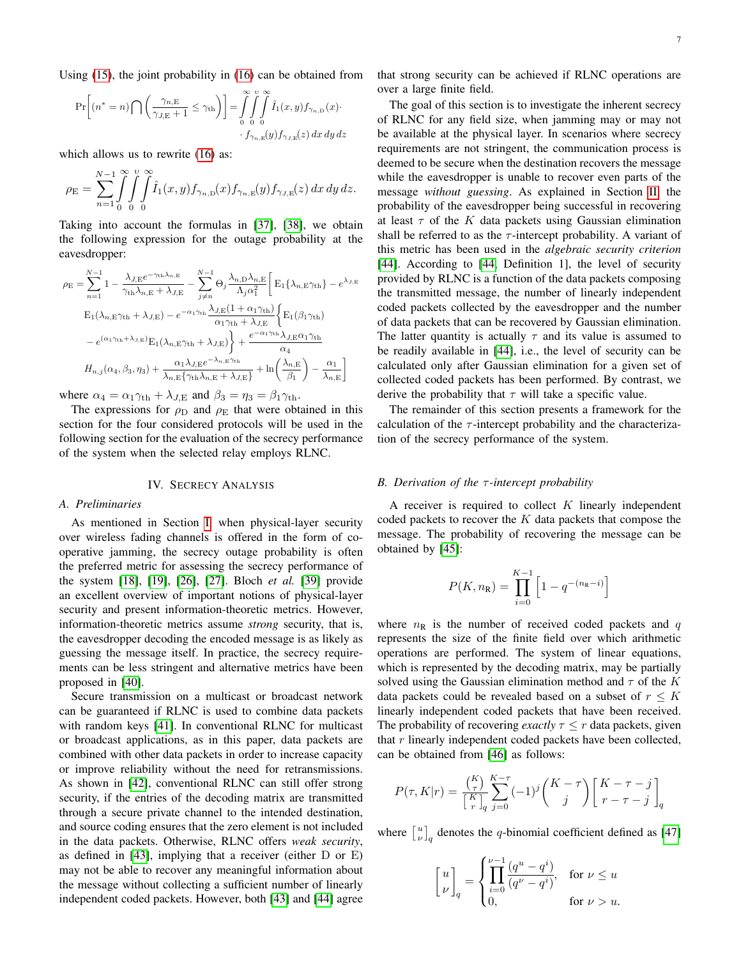Using [\(15\)](#page-5-0), the joint probability in [\(16\)](#page-5-2) can be obtained from

$$
\Pr\left[(n^* = n) \bigcap \left(\frac{\gamma_{n,\mathrm{E}}}{\gamma_{J,\mathrm{E}} + 1} \le \gamma_{\mathrm{th}}\right)\right] = \int_{0}^{\infty} \int_{0}^{v} \int_{0}^{\infty} \hat{I}_1(x, y) f_{\gamma_{n,\mathrm{D}}}(x) \cdot f_{\gamma_{n,\mathrm{E}}}(y) f_{\gamma_{J,\mathrm{E}}}(x) dx dy dz
$$

which allows us to rewrite  $(16)$  as:

$$
\rho_{\rm E} = \sum_{n=1}^{N-1} \int_{0}^{\infty} \int_{0}^{v} \int_{0}^{\infty} \hat{I}_1(x,y) f_{\gamma_{n,\rm D}}(x) f_{\gamma_{n,\rm E}}(y) f_{\gamma_{J,\rm E}}(z) \, dx \, dy \, dz.
$$

Taking into account the formulas in [\[37\]](#page-11-7), [\[38\]](#page-11-8), we obtain the following expression for the outage probability at the eavesdropper:

$$
\rho_{\rm E} = \sum_{n=1}^{N-1} 1 - \frac{\lambda_{J,\rm E}e^{-\gamma_{\rm th}\lambda_{n,\rm E}}}{\gamma_{\rm th}\lambda_{n,\rm E} + \lambda_{J,\rm E}} - \sum_{j\neq n}^{N-1} \Theta_j \frac{\lambda_{n,\rm D}\lambda_{n,\rm E}}{\Lambda_j \alpha_1^2} \left[ \mathbf{E}_1 \{\lambda_{n,\rm E}\gamma_{\rm th}\} - e^{\lambda_{J,\rm E}}
$$

$$
\mathbf{E}_1(\lambda_{n,\rm E}\gamma_{\rm th} + \lambda_{J,\rm E}) - e^{-\alpha_1\gamma_{\rm th}\lambda_{J,\rm E}(1 + \alpha_1\gamma_{\rm th})} \left\{ \mathbf{E}_1(\beta_1\gamma_{\rm th}) - e^{(\alpha_1\gamma_{\rm th} + \lambda_{J,\rm E})} \mathbf{E}_1(\lambda_{n,\rm E}\gamma_{\rm th} + \lambda_{J,\rm E}) \right\} + \frac{e^{-\alpha_1\gamma_{\rm th}\lambda_{J,\rm E}\alpha_1\gamma_{\rm th}}}{\alpha_4}
$$

$$
H_{n,j}(\alpha_4, \beta_3, \eta_3) + \frac{\alpha_1\lambda_{J,\rm E}e^{-\lambda_{n,\rm E}\gamma_{\rm th}}}{\lambda_{n,\rm E}(\gamma_{\rm th}\lambda_{n,\rm E} + \lambda_{J,\rm E})} + \ln\left(\frac{\lambda_{n,\rm E}}{\beta_1}\right) - \frac{\alpha_1}{\lambda_{n,\rm E}} \right]
$$

where  $\alpha_4 = \alpha_1 \gamma_{\text{th}} + \lambda_{J,E}$  and  $\beta_3 = \eta_3 = \beta_1 \gamma_{\text{th}}$ .

The expressions for  $\rho_D$  and  $\rho_E$  that were obtained in this section for the four considered protocols will be used in the following section for the evaluation of the secrecy performance of the system when the selected relay employs RLNC.

#### IV. SECRECY ANALYSIS

## <span id="page-6-0"></span>*A. Preliminaries*

As mentioned in Section [I,](#page-0-0) when physical-layer security over wireless fading channels is offered in the form of cooperative jamming, the secrecy outage probability is often the preferred metric for assessing the secrecy performance of the system [\[18\]](#page-10-16), [\[19\]](#page-10-17), [\[26\]](#page-10-25), [\[27\]](#page-10-26). Bloch *et al.* [\[39\]](#page-11-9) provide an excellent overview of important notions of physical-layer security and present information-theoretic metrics. However, information-theoretic metrics assume *strong* security, that is, the eavesdropper decoding the encoded message is as likely as guessing the message itself. In practice, the secrecy requirements can be less stringent and alternative metrics have been proposed in [\[40\]](#page-11-10).

Secure transmission on a multicast or broadcast network can be guaranteed if RLNC is used to combine data packets with random keys [\[41\]](#page-11-11). In conventional RLNC for multicast or broadcast applications, as in this paper, data packets are combined with other data packets in order to increase capacity or improve reliability without the need for retransmissions. As shown in [\[42\]](#page-11-12), conventional RLNC can still offer strong security, if the entries of the decoding matrix are transmitted through a secure private channel to the intended destination, and source coding ensures that the zero element is not included in the data packets. Otherwise, RLNC offers *weak security*, as defined in [\[43\]](#page-11-13), implying that a receiver (either D or E) may not be able to recover any meaningful information about the message without collecting a sufficient number of linearly independent coded packets. However, both [\[43\]](#page-11-13) and [\[44\]](#page-11-14) agree that strong security can be achieved if RLNC operations are over a large finite field.

The goal of this section is to investigate the inherent secrecy of RLNC for any field size, when jamming may or may not be available at the physical layer. In scenarios where secrecy requirements are not stringent, the communication process is deemed to be secure when the destination recovers the message while the eavesdropper is unable to recover even parts of the message *without guessing*. As explained in Section [II,](#page-1-0) the probability of the eavesdropper being successful in recovering at least  $\tau$  of the K data packets using Gaussian elimination shall be referred to as the  $\tau$ -intercept probability. A variant of this metric has been used in the *algebraic security criterion* [\[44\]](#page-11-14). According to [\[44,](#page-11-14) Definition 1], the level of security provided by RLNC is a function of the data packets composing the transmitted message, the number of linearly independent coded packets collected by the eavesdropper and the number of data packets that can be recovered by Gaussian elimination. The latter quantity is actually  $\tau$  and its value is assumed to be readily available in [\[44\]](#page-11-14), i.e., the level of security can be calculated only after Gaussian elimination for a given set of collected coded packets has been performed. By contrast, we derive the probability that  $\tau$  will take a specific value.

The remainder of this section presents a framework for the calculation of the  $\tau$ -intercept probability and the characterization of the secrecy performance of the system.

#### *B. Derivation of the* τ *-intercept probability*

A receiver is required to collect  $K$  linearly independent coded packets to recover the  $K$  data packets that compose the message. The probability of recovering the message can be obtained by [\[45\]](#page-11-15):

<span id="page-6-1"></span>
$$
P(K, n_{\mathbf{R}}) = \prod_{i=0}^{K-1} \left[ 1 - q^{-(n_{\mathbf{R}} - i)} \right]
$$

where  $n<sub>R</sub>$  is the number of received coded packets and q represents the size of the finite field over which arithmetic operations are performed. The system of linear equations, which is represented by the decoding matrix, may be partially solved using the Gaussian elimination method and  $\tau$  of the K data packets could be revealed based on a subset of  $r \leq K$ linearly independent coded packets that have been received. The probability of recovering *exactly*  $\tau \leq r$  data packets, given that r linearly independent coded packets have been collected, can be obtained from [\[46\]](#page-11-16) as follows:

$$
P(\tau, K|r) = \frac{\binom{K}{\tau}}{\binom{K}{r}} \sum_{q}^{K-\tau} (-1)^j \binom{K-\tau}{j} \left[ \frac{K-\tau-j}{r-\tau-j} \right]_q
$$

where  $\begin{bmatrix} u \\ v \end{bmatrix}_q$  denotes the q-binomial coefficient defined as [\[47\]](#page-11-17)

$$
\begin{bmatrix} u \\ \nu \end{bmatrix}_q = \begin{cases} \prod_{i=0}^{\nu-1} \frac{(q^u - q^i)}{(q^{\nu} - q^i)}, & \text{for } \nu \le u \\ 0, & \text{for } \nu > u. \end{cases}
$$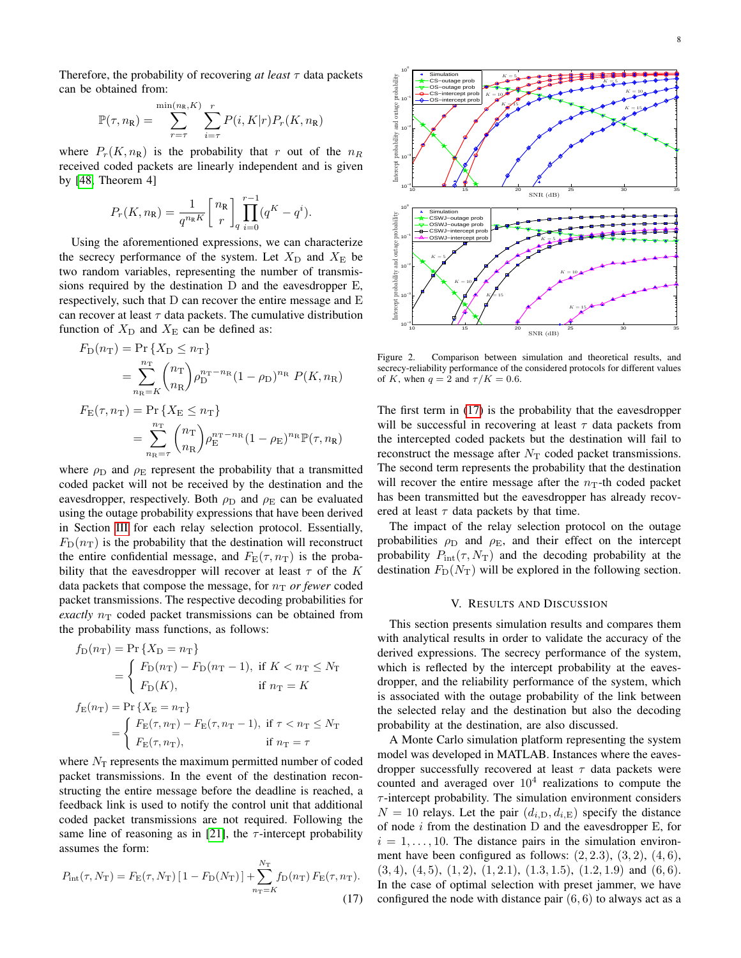Therefore, the probability of recovering  $at least \tau$  data packets can be obtained from:

$$
\mathbb{P}(\tau, n_{\mathbf{R}}) = \sum_{r=\tau}^{\min(n_{\mathbf{R}}, K)} \sum_{i=\tau}^{r} P(i, K|r) P_r(K, n_{\mathbf{R}})
$$

where  $P_r(K, n_R)$  is the probability that r out of the  $n_R$ received coded packets are linearly independent and is given by [\[48,](#page-11-18) Theorem 4]

$$
P_r(K, n_{\mathbf{R}}) = \frac{1}{q^{n_{\mathbf{R}}K}} \left[ \begin{array}{c} n_{\mathbf{R}} \\ r \end{array} \right] \prod_{q=0}^{r-1} (q^K - q^i).
$$

Using the aforementioned expressions, we can characterize the secrecy performance of the system. Let  $X_{\text{D}}$  and  $X_{\text{E}}$  be two random variables, representing the number of transmissions required by the destination D and the eavesdropper E, respectively, such that D can recover the entire message and E can recover at least  $\tau$  data packets. The cumulative distribution function of  $X_D$  and  $X_E$  can be defined as:

$$
F_{D}(n_{T}) = Pr\{X_{D} \le n_{T}\}\
$$
  
=  $\sum_{n_{R}=K}^{n_{T}} {n_{T} \choose n_{R}} \rho_{D}^{n_{T}-n_{R}} (1 - \rho_{D})^{n_{R}} P(K, n_{R})$   

$$
F_{E}(\tau, n_{T}) = Pr\{X_{E} \le n_{T}\}\
$$
  
=  $\sum_{n_{R}=T}^{n_{T}} {n_{T} \choose n_{R}} \rho_{E}^{n_{T}-n_{R}} (1 - \rho_{E})^{n_{R}} \mathbb{P}(\tau, n_{R})$ 

where  $\rho_D$  and  $\rho_E$  represent the probability that a transmitted coded packet will not be received by the destination and the eavesdropper, respectively. Both  $\rho_D$  and  $\rho_E$  can be evaluated using the outage probability expressions that have been derived in Section [III](#page-3-0) for each relay selection protocol. Essentially,  $F<sub>D</sub>(n<sub>T</sub>)$  is the probability that the destination will reconstruct the entire confidential message, and  $F_{\rm E}(\tau, n_{\rm T})$  is the probability that the eavesdropper will recover at least  $\tau$  of the K data packets that compose the message, for  $n<sub>T</sub>$  *or fewer* coded packet transmissions. The respective decoding probabilities for *exactly*  $n<sub>T</sub>$  coded packet transmissions can be obtained from the probability mass functions, as follows:

$$
f_{D}(n_{T}) = Pr\{X_{D} = n_{T}\}
$$
  
= 
$$
\begin{cases} F_{D}(n_{T}) - F_{D}(n_{T} - 1), & \text{if } K < n_{T} \leq N_{T} \\ F_{D}(K), & \text{if } n_{T} = K \end{cases}
$$
  

$$
f_{E}(n_{T}) = Pr\{X_{E} = n_{T}\}
$$
  
= 
$$
\begin{cases} F_{E}(\tau, n_{T}) - F_{E}(\tau, n_{T} - 1), & \text{if } \tau < n_{T} \leq N_{T} \\ F_{E}(\tau, n_{T}), & \text{if } n_{T} = \tau \end{cases}
$$

where  $N<sub>T</sub>$  represents the maximum permitted number of coded packet transmissions. In the event of the destination reconstructing the entire message before the deadline is reached, a feedback link is used to notify the control unit that additional coded packet transmissions are not required. Following the same line of reasoning as in [\[21\]](#page-10-19), the  $\tau$ -intercept probability assumes the form:

$$
P_{\rm int}(\tau, N_{\rm T}) = F_{\rm E}(\tau, N_{\rm T}) \left[ 1 - F_{\rm D}(N_{\rm T}) \right] + \sum_{n_{\rm T}=K}^{N_{\rm T}} f_{\rm D}(n_{\rm T}) F_{\rm E}(\tau, n_{\rm T}).
$$
\n(17)



<span id="page-7-1"></span>Figure 2. Comparison between simulation and theoretical results, and secrecy-reliability performance of the considered protocols for different values of K, when  $q = 2$  and  $\tau/K = 0.6$ .

The first term in [\(17\)](#page-6-1) is the probability that the eavesdropper will be successful in recovering at least  $\tau$  data packets from the intercepted coded packets but the destination will fail to reconstruct the message after  $N<sub>T</sub>$  coded packet transmissions. The second term represents the probability that the destination will recover the entire message after the  $n_T$ -th coded packet has been transmitted but the eavesdropper has already recovered at least  $\tau$  data packets by that time.

The impact of the relay selection protocol on the outage probabilities  $\rho_D$  and  $\rho_E$ , and their effect on the intercept probability  $P_{\text{int}}(\tau, N_{\text{T}})$  and the decoding probability at the destination  $F_D(N_T)$  will be explored in the following section.

#### V. RESULTS AND DISCUSSION

<span id="page-7-0"></span>This section presents simulation results and compares them with analytical results in order to validate the accuracy of the derived expressions. The secrecy performance of the system, which is reflected by the intercept probability at the eavesdropper, and the reliability performance of the system, which is associated with the outage probability of the link between the selected relay and the destination but also the decoding probability at the destination, are also discussed.

A Monte Carlo simulation platform representing the system model was developed in MATLAB. Instances where the eavesdropper successfully recovered at least  $\tau$  data packets were counted and averaged over  $10<sup>4</sup>$  realizations to compute the  $\tau$ -intercept probability. The simulation environment considers  $N = 10$  relays. Let the pair  $(d_{i,D}, d_{i,E})$  specify the distance of node  $i$  from the destination  $D$  and the eavesdropper  $E$ , for  $i = 1, \ldots, 10$ . The distance pairs in the simulation environment have been configured as follows:  $(2, 2.3)$ ,  $(3, 2)$ ,  $(4, 6)$ ,  $(3, 4)$ ,  $(4, 5)$ ,  $(1, 2)$ ,  $(1, 2.1)$ ,  $(1.3, 1.5)$ ,  $(1.2, 1.9)$  and  $(6, 6)$ . In the case of optimal selection with preset jammer, we have configured the node with distance pair  $(6, 6)$  to always act as a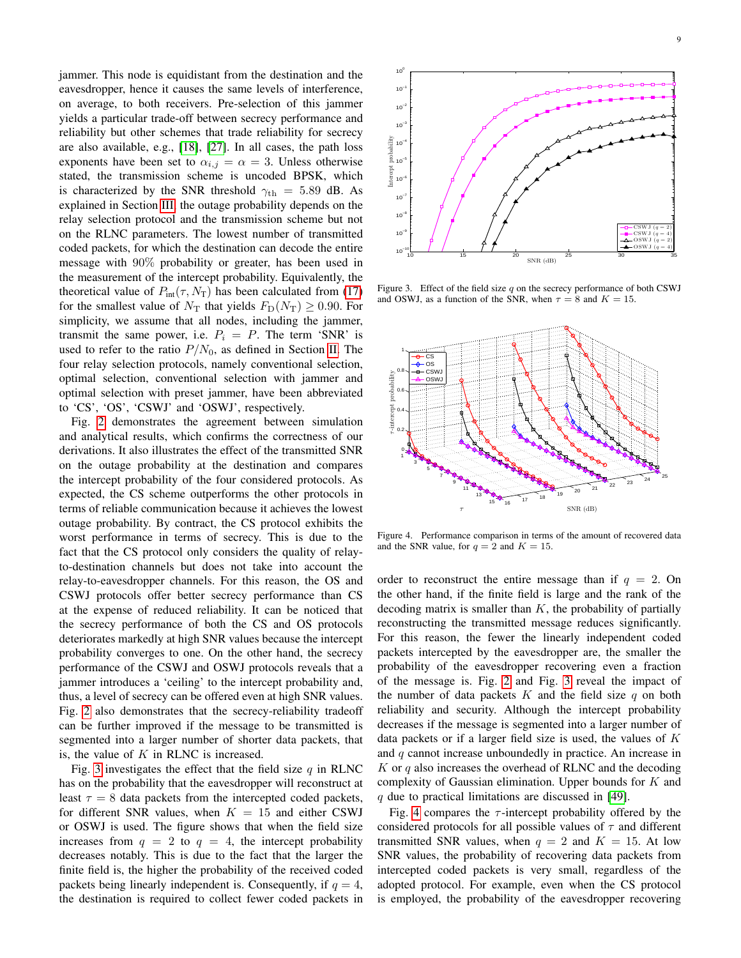jammer. This node is equidistant from the destination and the eavesdropper, hence it causes the same levels of interference, on average, to both receivers. Pre-selection of this jammer yields a particular trade-off between secrecy performance and reliability but other schemes that trade reliability for secrecy are also available, e.g., [\[18\]](#page-10-16), [\[27\]](#page-10-26). In all cases, the path loss exponents have been set to  $\alpha_{i,j} = \alpha = 3$ . Unless otherwise stated, the transmission scheme is uncoded BPSK, which is characterized by the SNR threshold  $\gamma_{\text{th}} = 5.89$  dB. As explained in Section [III,](#page-3-0) the outage probability depends on the relay selection protocol and the transmission scheme but not on the RLNC parameters. The lowest number of transmitted coded packets, for which the destination can decode the entire message with 90% probability or greater, has been used in the measurement of the intercept probability. Equivalently, the theoretical value of  $P_{\text{int}}(\tau, N_{\text{T}})$  has been calculated from [\(17\)](#page-6-1) for the smallest value of  $N_T$  that yields  $F_D(N_T) \geq 0.90$ . For simplicity, we assume that all nodes, including the jammer, transmit the same power, i.e.  $P_i = P$ . The term 'SNR' is used to refer to the ratio  $P/N_0$ , as defined in Section [II.](#page-1-0) The four relay selection protocols, namely conventional selection, optimal selection, conventional selection with jammer and optimal selection with preset jammer, have been abbreviated to 'CS', 'OS', 'CSWJ' and 'OSWJ', respectively.

Fig. [2](#page-7-1) demonstrates the agreement between simulation and analytical results, which confirms the correctness of our derivations. It also illustrates the effect of the transmitted SNR on the outage probability at the destination and compares the intercept probability of the four considered protocols. As expected, the CS scheme outperforms the other protocols in terms of reliable communication because it achieves the lowest outage probability. By contract, the CS protocol exhibits the worst performance in terms of secrecy. This is due to the fact that the CS protocol only considers the quality of relayto-destination channels but does not take into account the relay-to-eavesdropper channels. For this reason, the OS and CSWJ protocols offer better secrecy performance than CS at the expense of reduced reliability. It can be noticed that the secrecy performance of both the CS and OS protocols deteriorates markedly at high SNR values because the intercept probability converges to one. On the other hand, the secrecy performance of the CSWJ and OSWJ protocols reveals that a jammer introduces a 'ceiling' to the intercept probability and, thus, a level of secrecy can be offered even at high SNR values. Fig. [2](#page-7-1) also demonstrates that the secrecy-reliability tradeoff can be further improved if the message to be transmitted is segmented into a larger number of shorter data packets, that is, the value of  $K$  in RLNC is increased. meange with 30 7 posted range in the second packet in the second in the second packet fewer collect fewer collect fewer collect fewer collect fewer collect fewer collect fewer collect fewer collect fewer codes and the sec

Fig. [3](#page-8-0) investigates the effect that the field size q in RLNC has on the probability that the eavesdropper will reconstruct at least  $\tau = 8$  data packets from the intercepted coded packets, for different SNR values, when  $K = 15$  and either CSWJ or OSWJ is used. The figure shows that when the field size increases from  $q = 2$  to  $q = 4$ , the intercept probability decreases notably. This is due to the fact that the larger the finite field is, the higher the probability of the received coded packets being linearly independent is. Consequently, if  $q = 4$ ,



<span id="page-8-0"></span>Figure 3. Effect of the field size  $q$  on the secrecy performance of both CSWJ and OSWJ, as a function of the SNR, when  $\tau = 8$  and  $K = 15$ .



<span id="page-8-1"></span>Figure 4. Performance comparison in terms of the amount of recovered data and the SNR value, for  $q = 2$  and  $K = 15$ .

order to reconstruct the entire message than if  $q = 2$ . On the other hand, if the finite field is large and the rank of the decoding matrix is smaller than  $K$ , the probability of partially reconstructing the transmitted message reduces significantly. For this reason, the fewer the linearly independent coded packets intercepted by the eavesdropper are, the smaller the probability of the eavesdropper recovering even a fraction of the message is. Fig. [2](#page-7-1) and Fig. [3](#page-8-0) reveal the impact of the number of data packets  $K$  and the field size q on both reliability and security. Although the intercept probability decreases if the message is segmented into a larger number of data packets or if a larger field size is used, the values of  $K$ and  $q$  cannot increase unboundedly in practice. An increase in  $K$  or  $q$  also increases the overhead of RLNC and the decoding complexity of Gaussian elimination. Upper bounds for  $K$  and  $q$  due to practical limitations are discussed in [\[49\]](#page-11-19).

Fig. [4](#page-8-1) compares the  $\tau$ -intercept probability offered by the considered protocols for all possible values of  $\tau$  and different transmitted SNR values, when  $q = 2$  and  $K = 15$ . At low SNR values, the probability of recovering data packets from intercepted coded packets is very small, regardless of the adopted protocol. For example, even when the CS protocol is employed, the probability of the eavesdropper recovering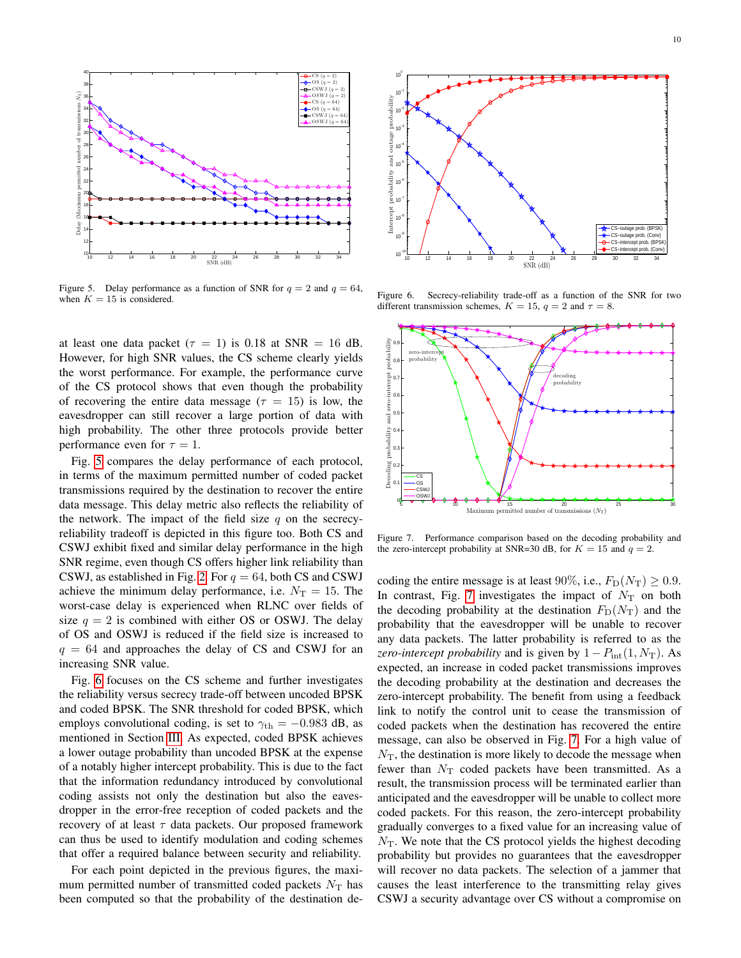

<span id="page-9-0"></span>Figure 5. Delay performance as a function of SNR for  $q = 2$  and  $q = 64$ , when  $K = 15$  is considered.

at least one data packet ( $\tau = 1$ ) is 0.18 at SNR = 16 dB. However, for high SNR values, the CS scheme clearly yields the worst performance. For example, the performance curve of the CS protocol shows that even though the probability of recovering the entire data message ( $\tau = 15$ ) is low, the eavesdropper can still recover a large portion of data with high probability. The other three protocols provide better performance even for  $\tau = 1$ .

Fig. [5](#page-9-0) compares the delay performance of each protocol, in terms of the maximum permitted number of coded packet transmissions required by the destination to recover the entire data message. This delay metric also reflects the reliability of the network. The impact of the field size  $q$  on the secrecyreliability tradeoff is depicted in this figure too. Both CS and CSWJ exhibit fixed and similar delay performance in the high SNR regime, even though CS offers higher link reliability than CSWJ, as established in Fig. [2.](#page-7-1) For  $q = 64$ , both CS and CSWJ achieve the minimum delay performance, i.e.  $N_T = 15$ . The worst-case delay is experienced when RLNC over fields of size  $q = 2$  is combined with either OS or OSWJ. The delay of OS and OSWJ is reduced if the field size is increased to  $q = 64$  and approaches the delay of CS and CSWJ for an increasing SNR value.

Fig. [6](#page-9-1) focuses on the CS scheme and further investigates the reliability versus secrecy trade-off between uncoded BPSK and coded BPSK. The SNR threshold for coded BPSK, which employs convolutional coding, is set to  $\gamma_{\text{th}} = -0.983$  dB, as mentioned in Section [III.](#page-3-0) As expected, coded BPSK achieves a lower outage probability than uncoded BPSK at the expense of a notably higher intercept probability. This is due to the fact that the information redundancy introduced by convolutional coding assists not only the destination but also the eavesdropper in the error-free reception of coded packets and the recovery of at least  $\tau$  data packets. Our proposed framework can thus be used to identify modulation and coding schemes that offer a required balance between security and reliability.

For each point depicted in the previous figures, the maximum permitted number of transmitted coded packets  $N_T$  has been computed so that the probability of the destination de-



<span id="page-9-1"></span>Figure 6. Secrecy-reliability trade-off as a function of the SNR for two different transmission schemes,  $K = 15$ ,  $q = 2$  and  $\tau = 8$ .



<span id="page-9-2"></span>Figure 7. Performance comparison based on the decoding probability and the zero-intercept probability at SNR=30 dB, for  $K = 15$  and  $q = 2$ .

coding the entire message is at least 90%, i.e.,  $F_D(N_T) \geq 0.9$ . In contrast, Fig. [7](#page-9-2) investigates the impact of  $N_T$  on both the decoding probability at the destination  $F_D(N_T)$  and the probability that the eavesdropper will be unable to recover any data packets. The latter probability is referred to as the *zero-intercept probability* and is given by  $1 - P_{\text{int}}(1, N_T)$ . As expected, an increase in coded packet transmissions improves the decoding probability at the destination and decreases the zero-intercept probability. The benefit from using a feedback link to notify the control unit to cease the transmission of coded packets when the destination has recovered the entire message, can also be observed in Fig. [7.](#page-9-2) For a high value of  $N<sub>T</sub>$ , the destination is more likely to decode the message when fewer than  $N_{\rm T}$  coded packets have been transmitted. As a result, the transmission process will be terminated earlier than anticipated and the eavesdropper will be unable to collect more coded packets. For this reason, the zero-intercept probability gradually converges to a fixed value for an increasing value of  $N<sub>T</sub>$ . We note that the CS protocol yields the highest decoding probability but provides no guarantees that the eavesdropper will recover no data packets. The selection of a jammer that causes the least interference to the transmitting relay gives CSWJ a security advantage over CS without a compromise on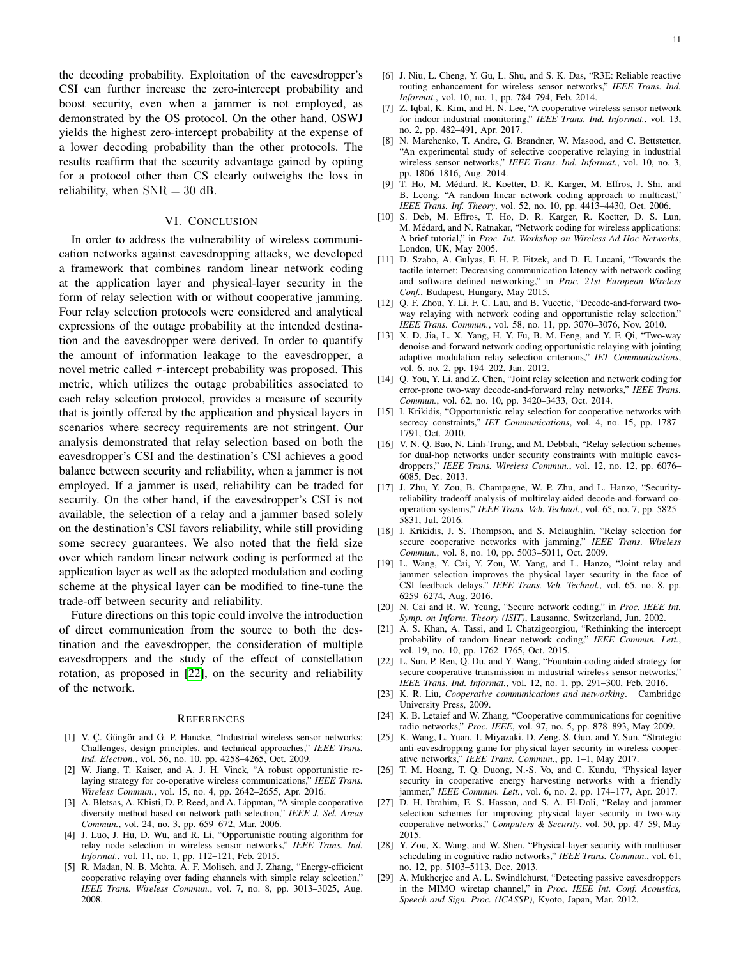the decoding probability. Exploitation of the eavesdropper's CSI can further increase the zero-intercept probability and boost security, even when a jammer is not employed, as demonstrated by the OS protocol. On the other hand, OSWJ yields the highest zero-intercept probability at the expense of a lower decoding probability than the other protocols. The results reaffirm that the security advantage gained by opting for a protocol other than CS clearly outweighs the loss in reliability, when  $SNR = 30$  dB.

## VI. CONCLUSION

<span id="page-10-21"></span>In order to address the vulnerability of wireless communication networks against eavesdropping attacks, we developed a framework that combines random linear network coding at the application layer and physical-layer security in the form of relay selection with or without cooperative jamming. Four relay selection protocols were considered and analytical expressions of the outage probability at the intended destination and the eavesdropper were derived. In order to quantify the amount of information leakage to the eavesdropper, a novel metric called  $\tau$ -intercept probability was proposed. This metric, which utilizes the outage probabilities associated to each relay selection protocol, provides a measure of security that is jointly offered by the application and physical layers in scenarios where secrecy requirements are not stringent. Our analysis demonstrated that relay selection based on both the eavesdropper's CSI and the destination's CSI achieves a good balance between security and reliability, when a jammer is not employed. If a jammer is used, reliability can be traded for security. On the other hand, if the eavesdropper's CSI is not available, the selection of a relay and a jammer based solely on the destination's CSI favors reliability, while still providing some secrecy guarantees. We also noted that the field size over which random linear network coding is performed at the application layer as well as the adopted modulation and coding scheme at the physical layer can be modified to fine-tune the trade-off between security and reliability.

Future directions on this topic could involve the introduction of direct communication from the source to both the destination and the eavesdropper, the consideration of multiple eavesdroppers and the study of the effect of constellation rotation, as proposed in [\[22\]](#page-10-20), on the security and reliability of the network.

#### **REFERENCES**

- <span id="page-10-0"></span>[1] V. C. Güngör and G. P. Hancke, "Industrial wireless sensor networks: Challenges, design principles, and technical approaches," *IEEE Trans. Ind. Electron.*, vol. 56, no. 10, pp. 4258–4265, Oct. 2009.
- <span id="page-10-1"></span>[2] W. Jiang, T. Kaiser, and A. J. H. Vinck, "A robust opportunistic relaying strategy for co-operative wireless communications," *IEEE Trans. Wireless Commun.*, vol. 15, no. 4, pp. 2642–2655, Apr. 2016.
- <span id="page-10-2"></span>[3] A. Bletsas, A. Khisti, D. P. Reed, and A. Lippman, "A simple cooperative diversity method based on network path selection," *IEEE J. Sel. Areas Commun.*, vol. 24, no. 3, pp. 659–672, Mar. 2006.
- <span id="page-10-3"></span>[4] J. Luo, J. Hu, D. Wu, and R. Li, "Opportunistic routing algorithm for relay node selection in wireless sensor networks," *IEEE Trans. Ind. Informat.*, vol. 11, no. 1, pp. 112–121, Feb. 2015.
- <span id="page-10-4"></span>[5] R. Madan, N. B. Mehta, A. F. Molisch, and J. Zhang, "Energy-efficient cooperative relaying over fading channels with simple relay selection," *IEEE Trans. Wireless Commun.*, vol. 7, no. 8, pp. 3013–3025, Aug. 2008.
- <span id="page-10-6"></span><span id="page-10-5"></span>[7] Z. Iqbal, K. Kim, and H. N. Lee, "A cooperative wireless sensor network for indoor industrial monitoring," *IEEE Trans. Ind. Informat.*, vol. 13, no. 2, pp. 482–491, Apr. 2017.
- <span id="page-10-7"></span>[8] N. Marchenko, T. Andre, G. Brandner, W. Masood, and C. Bettstetter, "An experimental study of selective cooperative relaying in industrial wireless sensor networks," *IEEE Trans. Ind. Informat.*, vol. 10, no. 3, pp. 1806–1816, Aug. 2014.
- <span id="page-10-8"></span>[9] T. Ho, M. Medard, R. Koetter, D. R. Karger, M. Effros, J. Shi, and ´ B. Leong, "A random linear network coding approach to multicast," *IEEE Trans. Inf. Theory*, vol. 52, no. 10, pp. 4413–4430, Oct. 2006.
- <span id="page-10-9"></span>[10] S. Deb, M. Effros, T. Ho, D. R. Karger, R. Koetter, D. S. Lun, M. Medard, and N. Ratnakar, "Network coding for wireless applications: ´ A brief tutorial," in *Proc. Int. Workshop on Wireless Ad Hoc Networks*, London, UK, May 2005.
- <span id="page-10-10"></span>[11] D. Szabo, A. Gulyas, F. H. P. Fitzek, and D. E. Lucani, "Towards the tactile internet: Decreasing communication latency with network coding and software defined networking," in *Proc. 21st European Wireless Conf.*, Budapest, Hungary, May 2015.
- <span id="page-10-11"></span>[12] Q. F. Zhou, Y. Li, F. C. Lau, and B. Vucetic, "Decode-and-forward twoway relaying with network coding and opportunistic relay selection," *IEEE Trans. Commun.*, vol. 58, no. 11, pp. 3070–3076, Nov. 2010.
- [13] X. D. Jia, L. X. Yang, H. Y. Fu, B. M. Feng, and Y. F. Qi, "Two-way denoise-and-forward network coding opportunistic relaying with jointing adaptive modulation relay selection criterions," *IET Communications*, vol. 6, no. 2, pp. 194–202, Jan. 2012.
- <span id="page-10-12"></span>[14] Q. You, Y. Li, and Z. Chen, "Joint relay selection and network coding for error-prone two-way decode-and-forward relay networks," *IEEE Trans. Commun.*, vol. 62, no. 10, pp. 3420–3433, Oct. 2014.
- <span id="page-10-13"></span>[15] I. Krikidis, "Opportunistic relay selection for cooperative networks with secrecy constraints," *IET Communications*, vol. 4, no. 15, pp. 1787– 1791, Oct. 2010.
- <span id="page-10-15"></span>[16] V. N. O. Bao, N. Linh-Trung, and M. Debbah, "Relay selection schemes for dual-hop networks under security constraints with multiple eavesdroppers," *IEEE Trans. Wireless Commun.*, vol. 12, no. 12, pp. 6076– 6085, Dec. 2013.
- <span id="page-10-14"></span>[17] J. Zhu, Y. Zou, B. Champagne, W. P. Zhu, and L. Hanzo, "Securityreliability tradeoff analysis of multirelay-aided decode-and-forward cooperation systems," *IEEE Trans. Veh. Technol.*, vol. 65, no. 7, pp. 5825– 5831, Jul. 2016.
- <span id="page-10-16"></span>[18] I. Krikidis, J. S. Thompson, and S. Mclaughlin, "Relay selection for secure cooperative networks with jamming," *IEEE Trans. Wireless Commun.*, vol. 8, no. 10, pp. 5003–5011, Oct. 2009.
- <span id="page-10-17"></span>[19] L. Wang, Y. Cai, Y. Zou, W. Yang, and L. Hanzo, "Joint relay and jammer selection improves the physical layer security in the face of CSI feedback delays," *IEEE Trans. Veh. Technol.*, vol. 65, no. 8, pp. 6259–6274, Aug. 2016.
- <span id="page-10-18"></span>[20] N. Cai and R. W. Yeung, "Secure network coding," in *Proc. IEEE Int. Symp. on Inform. Theory (ISIT)*, Lausanne, Switzerland, Jun. 2002.
- <span id="page-10-19"></span>[21] A. S. Khan, A. Tassi, and I. Chatzigeorgiou, "Rethinking the intercept probability of random linear network coding," *IEEE Commun. Lett.*, vol. 19, no. 10, pp. 1762–1765, Oct. 2015.
- <span id="page-10-20"></span>[22] L. Sun, P. Ren, O. Du, and Y. Wang, "Fountain-coding aided strategy for secure cooperative transmission in industrial wireless sensor networks," *IEEE Trans. Ind. Informat.*, vol. 12, no. 1, pp. 291–300, Feb. 2016.
- <span id="page-10-22"></span>[23] K. R. Liu, *Cooperative communications and networking*. Cambridge University Press, 2009.
- <span id="page-10-23"></span>[24] K. B. Letaief and W. Zhang, "Cooperative communications for cognitive radio networks," *Proc. IEEE*, vol. 97, no. 5, pp. 878–893, May 2009.
- <span id="page-10-24"></span>[25] K. Wang, L. Yuan, T. Miyazaki, D. Zeng, S. Guo, and Y. Sun, "Strategic anti-eavesdropping game for physical layer security in wireless cooperative networks," *IEEE Trans. Commun.*, pp. 1–1, May 2017.
- <span id="page-10-25"></span>[26] T. M. Hoang, T. Q. Duong, N.-S. Vo, and C. Kundu, "Physical layer security in cooperative energy harvesting networks with a friendly jammer," *IEEE Commun. Lett.*, vol. 6, no. 2, pp. 174–177, Apr. 2017.
- <span id="page-10-26"></span>[27] D. H. Ibrahim, E. S. Hassan, and S. A. El-Doli, "Relay and jammer selection schemes for improving physical layer security in two-way cooperative networks," *Computers & Security*, vol. 50, pp. 47–59, May 2015.
- <span id="page-10-27"></span>[28] Y. Zou, X. Wang, and W. Shen, "Physical-layer security with multiuser scheduling in cognitive radio networks," *IEEE Trans. Commun.*, vol. 61, no. 12, pp. 5103–5113, Dec. 2013.
- <span id="page-10-28"></span>A. Mukherjee and A. L. Swindlehurst, "Detecting passive eavesdroppers in the MIMO wiretap channel," in *Proc. IEEE Int. Conf. Acoustics, Speech and Sign. Proc. (ICASSP)*, Kyoto, Japan, Mar. 2012.